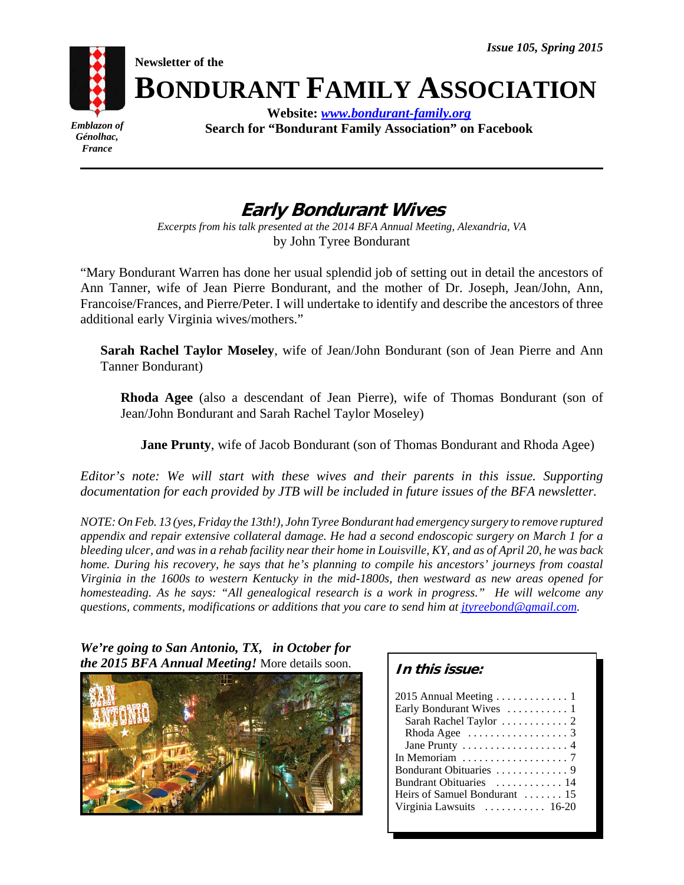**Newsletter of the**



**BONDURANT FAMILY ASSOCIATION**

*Emblazon of Génolhac, France*

**Website:** *www.bondurant-family.org* **Search for "Bondurant Family Association" on Facebook**

# **Early Bondurant Wives**

*Excerpts from his talk presented at the 2014 BFA Annual Meeting, Alexandria, VA* by John Tyree Bondurant

"Mary Bondurant Warren has done her usual splendid job of setting out in detail the ancestors of Ann Tanner, wife of Jean Pierre Bondurant, and the mother of Dr. Joseph, Jean/John, Ann, Francoise/Frances, and Pierre/Peter. I will undertake to identify and describe the ancestors of three additional early Virginia wives/mothers."

**Sarah Rachel Taylor Moseley**, wife of Jean/John Bondurant (son of Jean Pierre and Ann Tanner Bondurant)

**Rhoda Agee** (also a descendant of Jean Pierre), wife of Thomas Bondurant (son of Jean/John Bondurant and Sarah Rachel Taylor Moseley)

**Jane Prunty**, wife of Jacob Bondurant (son of Thomas Bondurant and Rhoda Agee)

*Editor's note: We will start with these wives and their parents in this issue. Supporting documentation for each provided by JTB will be included in future issues of the BFA newsletter.* 

*NOTE: On Feb. 13 (yes, Friday the 13th!), John Tyree Bondurant had emergency surgery to remove ruptured appendix and repair extensive collateral damage. He had a second endoscopic surgery on March 1 for a bleeding ulcer, and was in a rehab facility near their home in Louisville, KY, and as of April 20, he was back home. During his recovery, he says that he's planning to compile his ancestors' journeys from coastal Virginia in the 1600s to western Kentucky in the mid-1800s, then westward as new areas opened for homesteading. As he says: "All genealogical research is a work in progress." He will welcome any questions, comments, modifications or additions that you care to send him at jtyreebond@gmail.com.* 

## *We're going to San Antonio, TX, in October for the 2015 BFA Annual Meeting!* More details soon.



| In this issue:                                    |
|---------------------------------------------------|
| 2015 Annual Meeting  1                            |
| Early Bondurant Wives  1                          |
|                                                   |
|                                                   |
|                                                   |
| In Memoriam $\dots\dots\dots\dots\dots\dots$ 7    |
|                                                   |
| Bundrant Obituaries  14                           |
| Heirs of Samuel Bondurant $\dots$ 15              |
| Virginia Lawsuits $\dots \dots \dots \dots 16-20$ |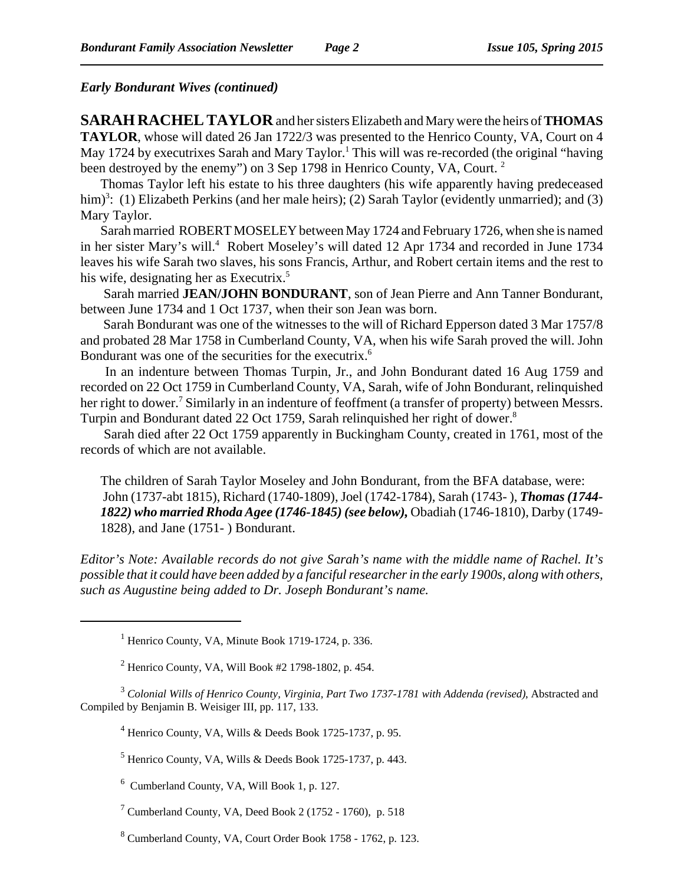## *Early Bondurant Wives (continued)*

**SARAH RACHEL TAYLOR** and her sisters Elizabeth and Mary were the heirs of **THOMAS TAYLOR**, whose will dated 26 Jan 1722/3 was presented to the Henrico County, VA, Court on 4 May 1724 by executrixes Sarah and Mary Taylor.<sup>1</sup> This will was re-recorded (the original "having been destroyed by the enemy") on 3 Sep 1798 in Henrico County, VA, Court.<sup>2</sup>

Thomas Taylor left his estate to his three daughters (his wife apparently having predeceased him)<sup>3</sup>: (1) Elizabeth Perkins (and her male heirs); (2) Sarah Taylor (evidently unmarried); and (3) Mary Taylor.

Sarah married ROBERT MOSELEY between May 1724 and February 1726, when she is named in her sister Mary's will.<sup>4</sup> Robert Moseley's will dated 12 Apr 1734 and recorded in June 1734 leaves his wife Sarah two slaves, his sons Francis, Arthur, and Robert certain items and the rest to his wife, designating her as Executrix.<sup>5</sup>

 Sarah married **JEAN/JOHN BONDURANT**, son of Jean Pierre and Ann Tanner Bondurant, between June 1734 and 1 Oct 1737, when their son Jean was born.

 Sarah Bondurant was one of the witnesses to the will of Richard Epperson dated 3 Mar 1757/8 and probated 28 Mar 1758 in Cumberland County, VA, when his wife Sarah proved the will. John Bondurant was one of the securities for the executrix.<sup>6</sup>

 In an indenture between Thomas Turpin, Jr., and John Bondurant dated 16 Aug 1759 and recorded on 22 Oct 1759 in Cumberland County, VA, Sarah, wife of John Bondurant, relinquished her right to dower.<sup>7</sup> Similarly in an indenture of feoffment (a transfer of property) between Messrs. Turpin and Bondurant dated 22 Oct 1759, Sarah relinguished her right of dower.<sup>8</sup>

 Sarah died after 22 Oct 1759 apparently in Buckingham County, created in 1761, most of the records of which are not available.

The children of Sarah Taylor Moseley and John Bondurant, from the BFA database, were: John (1737-abt 1815), Richard (1740-1809), Joel (1742-1784), Sarah (1743- ), *Thomas (1744- 1822) who married Rhoda Agee (1746-1845) (see below),* Obadiah (1746-1810), Darby (1749- 1828), and Jane (1751- ) Bondurant.

*Editor's Note: Available records do not give Sarah's name with the middle name of Rachel. It's possible that it could have been added by a fanciful researcher in the early 1900s, along with others, such as Augustine being added to Dr. Joseph Bondurant's name.* 

<sup>1</sup> Henrico County, VA, Minute Book 1719-1724, p. 336.

 $2^2$  Henrico County, VA, Will Book #2 1798-1802, p. 454.

3  *Colonial Wills of Henrico County, Virginia, Part Two 1737-1781 with Addenda (revised)*, Abstracted and Compiled by Benjamin B. Weisiger III, pp. 117, 133.

<sup>4</sup> Henrico County, VA, Wills & Deeds Book 1725-1737, p. 95.

 $<sup>5</sup>$  Henrico County, VA, Wills & Deeds Book 1725-1737, p. 443.</sup>

6 Cumberland County, VA, Will Book 1, p. 127.

7 Cumberland County, VA, Deed Book 2 (1752 - 1760), p. 518

<sup>8</sup> Cumberland County, VA, Court Order Book 1758 - 1762, p. 123.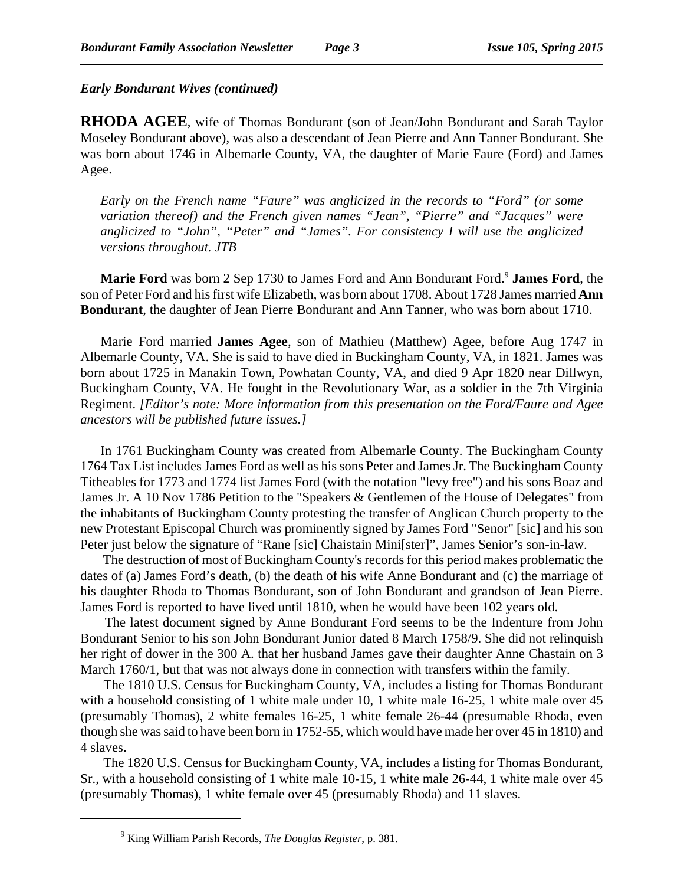### *Early Bondurant Wives (continued)*

**RHODA AGEE**, wife of Thomas Bondurant (son of Jean/John Bondurant and Sarah Taylor Moseley Bondurant above), was also a descendant of Jean Pierre and Ann Tanner Bondurant. She was born about 1746 in Albemarle County, VA, the daughter of Marie Faure (Ford) and James Agee.

*Early on the French name "Faure" was anglicized in the records to "Ford" (or some variation thereof) and the French given names "Jean", "Pierre" and "Jacques" were anglicized to "John", "Peter" and "James". For consistency I will use the anglicized versions throughout. JTB*

Marie Ford was born 2 Sep 1730 to James Ford and Ann Bondurant Ford.<sup>9</sup> James Ford, the son of Peter Ford and his first wife Elizabeth, was born about 1708. About 1728 James married **Ann Bondurant**, the daughter of Jean Pierre Bondurant and Ann Tanner, who was born about 1710.

Marie Ford married **James Agee**, son of Mathieu (Matthew) Agee, before Aug 1747 in Albemarle County, VA. She is said to have died in Buckingham County, VA, in 1821. James was born about 1725 in Manakin Town, Powhatan County, VA, and died 9 Apr 1820 near Dillwyn, Buckingham County, VA. He fought in the Revolutionary War, as a soldier in the 7th Virginia Regiment. *[Editor's note: More information from this presentation on the Ford/Faure and Agee ancestors will be published future issues.]*

In 1761 Buckingham County was created from Albemarle County. The Buckingham County 1764 Tax List includes James Ford as well as his sons Peter and James Jr. The Buckingham County Titheables for 1773 and 1774 list James Ford (with the notation "levy free") and his sons Boaz and James Jr. A 10 Nov 1786 Petition to the "Speakers & Gentlemen of the House of Delegates" from the inhabitants of Buckingham County protesting the transfer of Anglican Church property to the new Protestant Episcopal Church was prominently signed by James Ford "Senor" [sic] and his son Peter just below the signature of "Rane [sic] Chaistain Mini[ster]", James Senior's son-in-law.

 The destruction of most of Buckingham County's records for this period makes problematic the dates of (a) James Ford's death, (b) the death of his wife Anne Bondurant and (c) the marriage of his daughter Rhoda to Thomas Bondurant, son of John Bondurant and grandson of Jean Pierre. James Ford is reported to have lived until 1810, when he would have been 102 years old.

 The latest document signed by Anne Bondurant Ford seems to be the Indenture from John Bondurant Senior to his son John Bondurant Junior dated 8 March 1758/9. She did not relinquish her right of dower in the 300 A. that her husband James gave their daughter Anne Chastain on 3 March 1760/1, but that was not always done in connection with transfers within the family.

 The 1810 U.S. Census for Buckingham County, VA, includes a listing for Thomas Bondurant with a household consisting of 1 white male under 10, 1 white male 16-25, 1 white male over 45 (presumably Thomas), 2 white females 16-25, 1 white female 26-44 (presumable Rhoda, even though she was said to have been born in 1752-55, which would have made her over 45 in 1810) and 4 slaves.

 The 1820 U.S. Census for Buckingham County, VA, includes a listing for Thomas Bondurant, Sr., with a household consisting of 1 white male 10-15, 1 white male 26-44, 1 white male over 45 (presumably Thomas), 1 white female over 45 (presumably Rhoda) and 11 slaves.

<sup>9</sup> King William Parish Records, *The Douglas Register*, p. 381.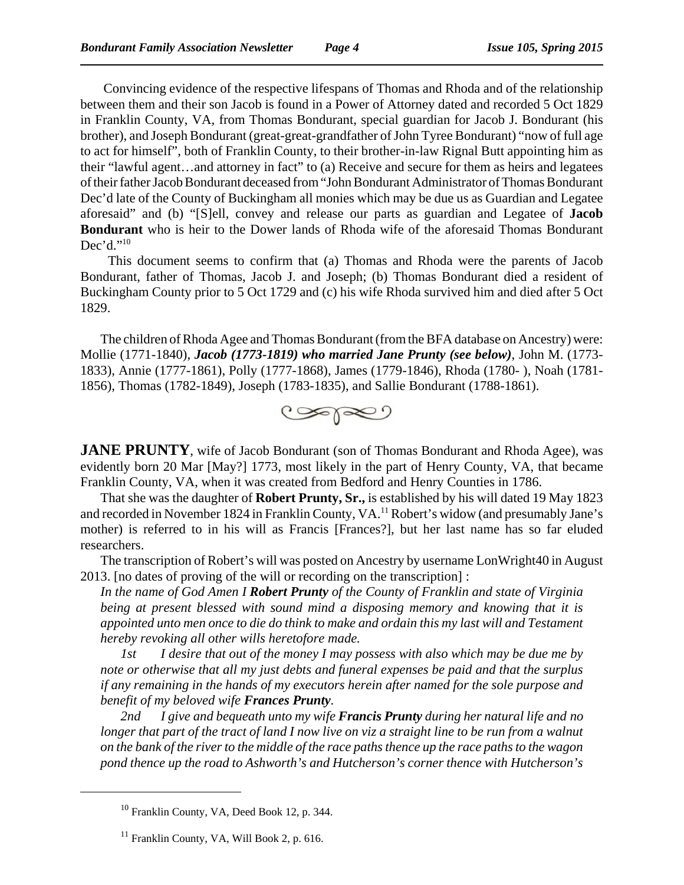Convincing evidence of the respective lifespans of Thomas and Rhoda and of the relationship between them and their son Jacob is found in a Power of Attorney dated and recorded 5 Oct 1829 in Franklin County, VA, from Thomas Bondurant, special guardian for Jacob J. Bondurant (his brother), and Joseph Bondurant (great-great-grandfather of John Tyree Bondurant) "now of full age to act for himself", both of Franklin County, to their brother-in-law Rignal Butt appointing him as their "lawful agent…and attorney in fact" to (a) Receive and secure for them as heirs and legatees of their father Jacob Bondurant deceased from "John Bondurant Administrator of Thomas Bondurant Dec'd late of the County of Buckingham all monies which may be due us as Guardian and Legatee aforesaid" and (b) "[S]ell, convey and release our parts as guardian and Legatee of **Jacob Bondurant** who is heir to the Dower lands of Rhoda wife of the aforesaid Thomas Bondurant  $Dec'd.^{"10}$ 

 This document seems to confirm that (a) Thomas and Rhoda were the parents of Jacob Bondurant, father of Thomas, Jacob J. and Joseph; (b) Thomas Bondurant died a resident of Buckingham County prior to 5 Oct 1729 and (c) his wife Rhoda survived him and died after 5 Oct 1829.

The children of Rhoda Agee and Thomas Bondurant (from the BFA database on Ancestry) were: Mollie (1771-1840), *Jacob (1773-1819) who married Jane Prunty (see below)*, John M. (1773- 1833), Annie (1777-1861), Polly (1777-1868), James (1779-1846), Rhoda (1780- ), Noah (1781- 1856), Thomas (1782-1849), Joseph (1783-1835), and Sallie Bondurant (1788-1861).



**JANE PRUNTY**, wife of Jacob Bondurant (son of Thomas Bondurant and Rhoda Agee), was evidently born 20 Mar [May?] 1773, most likely in the part of Henry County, VA, that became Franklin County, VA, when it was created from Bedford and Henry Counties in 1786.

That she was the daughter of **Robert Prunty, Sr.,** is established by his will dated 19 May 1823 and recorded in November 1824 in Franklin County, VA.<sup>11</sup> Robert's widow (and presumably Jane's mother) is referred to in his will as Francis [Frances?], but her last name has so far eluded researchers.

The transcription of Robert's will was posted on Ancestry by username LonWright40 in August 2013. [no dates of proving of the will or recording on the transcription] :

*In the name of God Amen I Robert Prunty of the County of Franklin and state of Virginia being at present blessed with sound mind a disposing memory and knowing that it is appointed unto men once to die do think to make and ordain this my last will and Testament hereby revoking all other wills heretofore made.*

*1st I desire that out of the money I may possess with also which may be due me by note or otherwise that all my just debts and funeral expenses be paid and that the surplus if any remaining in the hands of my executors herein after named for the sole purpose and benefit of my beloved wife Frances Prunty.*

*2nd I give and bequeath unto my wife Francis Prunty during her natural life and no longer that part of the tract of land I now live on viz a straight line to be run from a walnut on the bank of the river to the middle of the race paths thence up the race paths to the wagon pond thence up the road to Ashworth's and Hutcherson's corner thence with Hutcherson's*

<sup>&</sup>lt;sup>10</sup> Franklin County, VA, Deed Book 12, p. 344.

 $11$  Franklin County, VA, Will Book 2, p. 616.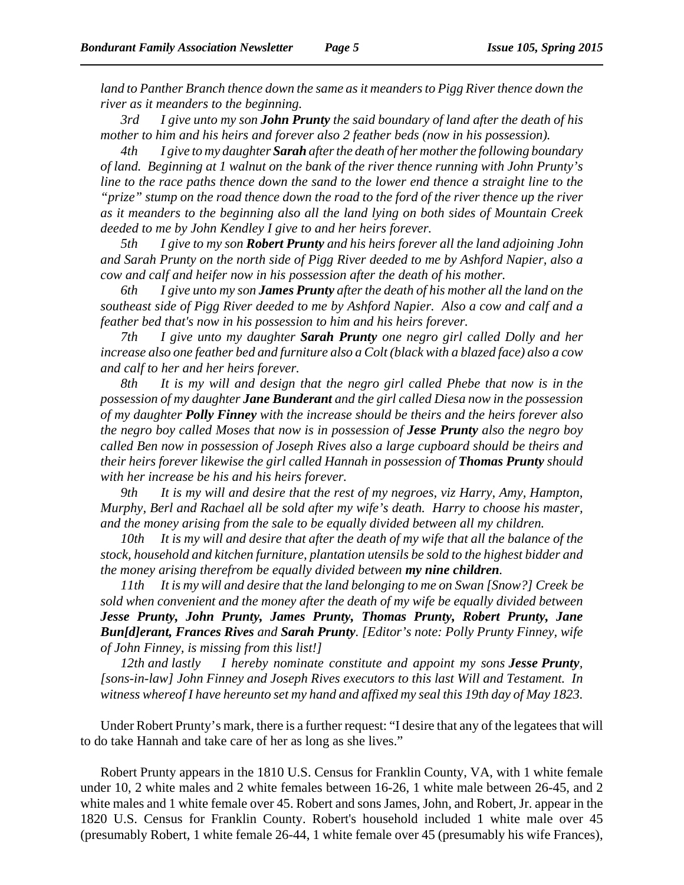*land to Panther Branch thence down the same as it meanders to Pigg River thence down the river as it meanders to the beginning.*

*3rd I give unto my son John Prunty the said boundary of land after the death of his mother to him and his heirs and forever also 2 feather beds (now in his possession).*

*4th I give to my daughter Sarah after the death of her mother the following boundary of land. Beginning at 1 walnut on the bank of the river thence running with John Prunty's line to the race paths thence down the sand to the lower end thence a straight line to the "prize" stump on the road thence down the road to the ford of the river thence up the river as it meanders to the beginning also all the land lying on both sides of Mountain Creek deeded to me by John Kendley I give to and her heirs forever.*

*5th I give to my son Robert Prunty and his heirs forever all the land adjoining John and Sarah Prunty on the north side of Pigg River deeded to me by Ashford Napier, also a cow and calf and heifer now in his possession after the death of his mother.*

*6th I give unto my son James Prunty after the death of his mother all the land on the southeast side of Pigg River deeded to me by Ashford Napier. Also a cow and calf and a feather bed that's now in his possession to him and his heirs forever.*

*7th I give unto my daughter Sarah Prunty one negro girl called Dolly and her increase also one feather bed and furniture also a Colt (black with a blazed face) also a cow and calf to her and her heirs forever.*

*8th It is my will and design that the negro girl called Phebe that now is in the possession of my daughter Jane Bunderant and the girl called Diesa now in the possession of my daughter Polly Finney with the increase should be theirs and the heirs forever also the negro boy called Moses that now is in possession of Jesse Prunty also the negro boy called Ben now in possession of Joseph Rives also a large cupboard should be theirs and their heirs forever likewise the girl called Hannah in possession of Thomas Prunty should with her increase be his and his heirs forever.*

*9th It is my will and desire that the rest of my negroes, viz Harry, Amy, Hampton, Murphy, Berl and Rachael all be sold after my wife's death. Harry to choose his master, and the money arising from the sale to be equally divided between all my children.*

*10th It is my will and desire that after the death of my wife that all the balance of the stock, household and kitchen furniture, plantation utensils be sold to the highest bidder and the money arising therefrom be equally divided between my nine children.*

*11th It is my will and desire that the land belonging to me on Swan [Snow?] Creek be sold when convenient and the money after the death of my wife be equally divided between Jesse Prunty, John Prunty, James Prunty, Thomas Prunty, Robert Prunty, Jane Bun[d]erant, Frances Rives and Sarah Prunty. [Editor's note: Polly Prunty Finney, wife of John Finney, is missing from this list!]* 

*12th and lastly I hereby nominate constitute and appoint my sons Jesse Prunty, [sons-in-law] John Finney and Joseph Rives executors to this last Will and Testament. In witness whereof I have hereunto set my hand and affixed my seal this 19th day of May 1823.*

Under Robert Prunty's mark, there is a further request: "I desire that any of the legatees that will to do take Hannah and take care of her as long as she lives."

Robert Prunty appears in the 1810 U.S. Census for Franklin County, VA, with 1 white female under 10, 2 white males and 2 white females between 16-26, 1 white male between 26-45, and 2 white males and 1 white female over 45. Robert and sons James, John, and Robert, Jr. appear in the 1820 U.S. Census for Franklin County. Robert's household included 1 white male over 45 (presumably Robert, 1 white female 26-44, 1 white female over 45 (presumably his wife Frances),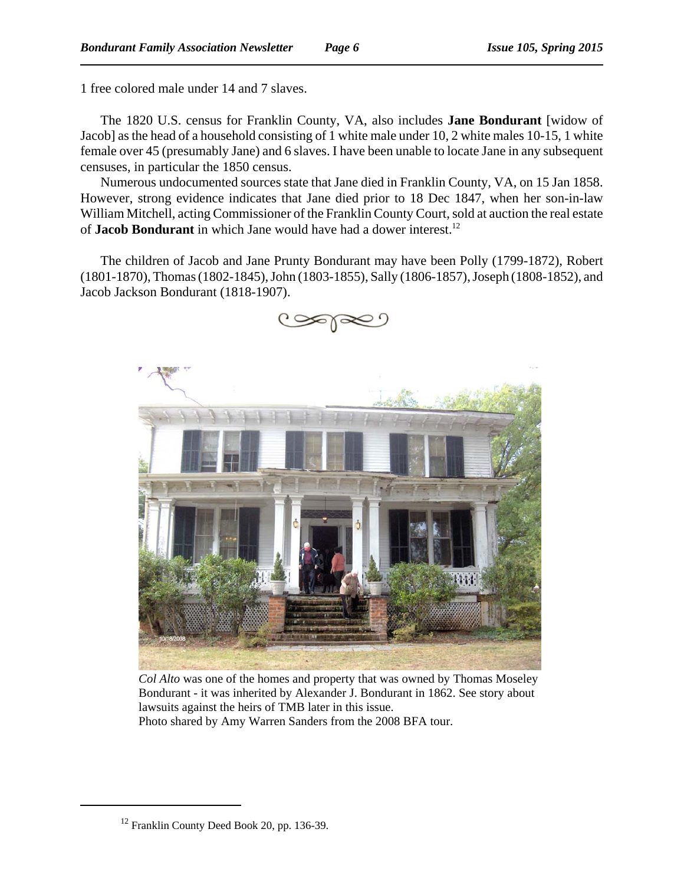1 free colored male under 14 and 7 slaves.

The 1820 U.S. census for Franklin County, VA, also includes **Jane Bondurant** [widow of Jacob] as the head of a household consisting of 1 white male under 10, 2 white males 10-15, 1 white female over 45 (presumably Jane) and 6 slaves. I have been unable to locate Jane in any subsequent censuses, in particular the 1850 census.

Numerous undocumented sources state that Jane died in Franklin County, VA, on 15 Jan 1858. However, strong evidence indicates that Jane died prior to 18 Dec 1847, when her son-in-law William Mitchell, acting Commissioner of the Franklin County Court, sold at auction the real estate of **Jacob Bondurant** in which Jane would have had a dower interest.12

The children of Jacob and Jane Prunty Bondurant may have been Polly (1799-1872), Robert (1801-1870), Thomas (1802-1845), John (1803-1855), Sally (1806-1857), Joseph (1808-1852), and Jacob Jackson Bondurant (1818-1907).



*Col Alto* was one of the homes and property that was owned by Thomas Moseley Bondurant - it was inherited by Alexander J. Bondurant in 1862. See story about lawsuits against the heirs of TMB later in this issue. Photo shared by Amy Warren Sanders from the 2008 BFA tour.

 $12$  Franklin County Deed Book 20, pp. 136-39.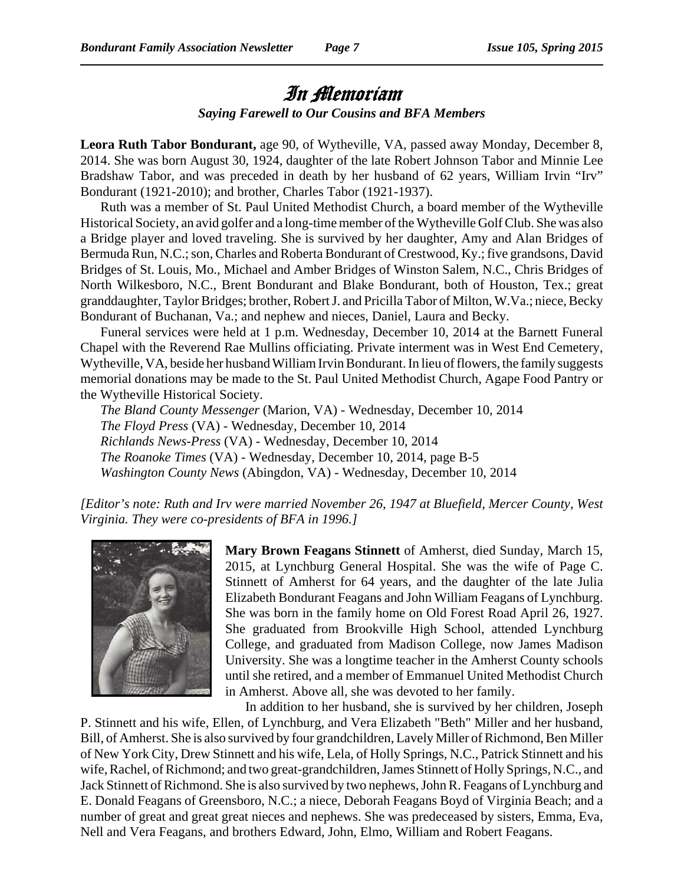## In Memoriam *Saying Farewell to Our Cousins and BFA Members*

**Leora Ruth Tabor Bondurant,** age 90, of Wytheville, VA, passed away Monday, December 8, 2014. She was born August 30, 1924, daughter of the late Robert Johnson Tabor and Minnie Lee Bradshaw Tabor, and was preceded in death by her husband of 62 years, William Irvin "Irv" Bondurant (1921-2010); and brother, Charles Tabor (1921-1937).

Ruth was a member of St. Paul United Methodist Church, a board member of the Wytheville Historical Society, an avid golfer and a long-time member of the Wytheville Golf Club. She was also a Bridge player and loved traveling. She is survived by her daughter, Amy and Alan Bridges of Bermuda Run, N.C.; son, Charles and Roberta Bondurant of Crestwood, Ky.; five grandsons, David Bridges of St. Louis, Mo., Michael and Amber Bridges of Winston Salem, N.C., Chris Bridges of North Wilkesboro, N.C., Brent Bondurant and Blake Bondurant, both of Houston, Tex.; great granddaughter, Taylor Bridges; brother, Robert J. and Pricilla Tabor of Milton, W.Va.; niece, Becky Bondurant of Buchanan, Va.; and nephew and nieces, Daniel, Laura and Becky.

Funeral services were held at 1 p.m. Wednesday, December 10, 2014 at the Barnett Funeral Chapel with the Reverend Rae Mullins officiating. Private interment was in West End Cemetery, Wytheville, VA, beside her husband William Irvin Bondurant. In lieu of flowers, the family suggests memorial donations may be made to the St. Paul United Methodist Church, Agape Food Pantry or the Wytheville Historical Society.

*The Bland County Messenger* (Marion, VA) - Wednesday, December 10, 2014 *The Floyd Press* (VA) - Wednesday, December 10, 2014 *Richlands News-Press* (VA) - Wednesday, December 10, 2014 *The Roanoke Times* (VA) - Wednesday, December 10, 2014, page B-5 *Washington County News* (Abingdon, VA) - Wednesday, December 10, 2014

*[Editor's note: Ruth and Irv were married November 26, 1947 at Bluefield, Mercer County, West Virginia. They were co-presidents of BFA in 1996.]*



**Mary Brown Feagans Stinnett** of Amherst, died Sunday, March 15, 2015, at Lynchburg General Hospital. She was the wife of Page C. Stinnett of Amherst for 64 years, and the daughter of the late Julia Elizabeth Bondurant Feagans and John William Feagans of Lynchburg. She was born in the family home on Old Forest Road April 26, 1927. She graduated from Brookville High School, attended Lynchburg College, and graduated from Madison College, now James Madison University. She was a longtime teacher in the Amherst County schools until she retired, and a member of Emmanuel United Methodist Church in Amherst. Above all, she was devoted to her family.

In addition to her husband, she is survived by her children, Joseph P. Stinnett and his wife, Ellen, of Lynchburg, and Vera Elizabeth "Beth" Miller and her husband, Bill, of Amherst. She is also survived by four grandchildren, Lavely Miller of Richmond, Ben Miller of New York City, Drew Stinnett and his wife, Lela, of Holly Springs, N.C., Patrick Stinnett and his wife, Rachel, of Richmond; and two great-grandchildren, James Stinnett of Holly Springs, N.C., and Jack Stinnett of Richmond. She is also survived by two nephews, John R. Feagans of Lynchburg and E. Donald Feagans of Greensboro, N.C.; a niece, Deborah Feagans Boyd of Virginia Beach; and a number of great and great great nieces and nephews. She was predeceased by sisters, Emma, Eva, Nell and Vera Feagans, and brothers Edward, John, Elmo, William and Robert Feagans.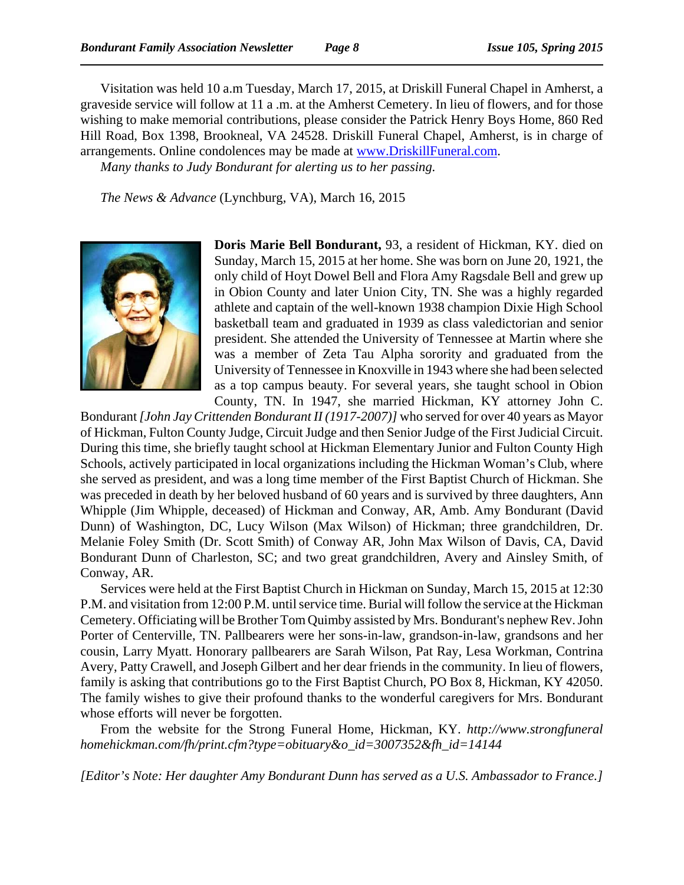Visitation was held 10 a.m Tuesday, March 17, 2015, at Driskill Funeral Chapel in Amherst, a graveside service will follow at 11 a .m. at the Amherst Cemetery. In lieu of flowers, and for those wishing to make memorial contributions, please consider the Patrick Henry Boys Home, 860 Red Hill Road, Box 1398, Brookneal, VA 24528. Driskill Funeral Chapel, Amherst, is in charge of arrangements. Online condolences may be made at www.DriskillFuneral.com. *Many thanks to Judy Bondurant for alerting us to her passing.*

*The News & Advance* (Lynchburg, VA), March 16, 2015



**Doris Marie Bell Bondurant,** 93, a resident of Hickman, KY. died on Sunday, March 15, 2015 at her home. She was born on June 20, 1921, the only child of Hoyt Dowel Bell and Flora Amy Ragsdale Bell and grew up in Obion County and later Union City, TN. She was a highly regarded athlete and captain of the well-known 1938 champion Dixie High School basketball team and graduated in 1939 as class valedictorian and senior president. She attended the University of Tennessee at Martin where she was a member of Zeta Tau Alpha sorority and graduated from the University of Tennessee in Knoxville in 1943 where she had been selected as a top campus beauty. For several years, she taught school in Obion County, TN. In 1947, she married Hickman, KY attorney John C.

Bondurant *[John Jay Crittenden Bondurant II (1917-2007)]* who served for over 40 years as Mayor of Hickman, Fulton County Judge, Circuit Judge and then Senior Judge of the First Judicial Circuit. During this time, she briefly taught school at Hickman Elementary Junior and Fulton County High Schools, actively participated in local organizations including the Hickman Woman's Club, where she served as president, and was a long time member of the First Baptist Church of Hickman. She was preceded in death by her beloved husband of 60 years and is survived by three daughters, Ann Whipple (Jim Whipple, deceased) of Hickman and Conway, AR, Amb. Amy Bondurant (David Dunn) of Washington, DC, Lucy Wilson (Max Wilson) of Hickman; three grandchildren, Dr. Melanie Foley Smith (Dr. Scott Smith) of Conway AR, John Max Wilson of Davis, CA, David Bondurant Dunn of Charleston, SC; and two great grandchildren, Avery and Ainsley Smith, of Conway, AR.

Services were held at the First Baptist Church in Hickman on Sunday, March 15, 2015 at 12:30 P.M. and visitation from 12:00 P.M. until service time. Burial will follow the service at the Hickman Cemetery. Officiating will be Brother Tom Quimby assisted by Mrs. Bondurant's nephew Rev. John Porter of Centerville, TN. Pallbearers were her sons-in-law, grandson-in-law, grandsons and her cousin, Larry Myatt. Honorary pallbearers are Sarah Wilson, Pat Ray, Lesa Workman, Contrina Avery, Patty Crawell, and Joseph Gilbert and her dear friends in the community. In lieu of flowers, family is asking that contributions go to the First Baptist Church, PO Box 8, Hickman, KY 42050. The family wishes to give their profound thanks to the wonderful caregivers for Mrs. Bondurant whose efforts will never be forgotten.

From the website for the Strong Funeral Home, Hickman, KY. *http://www.strongfuneral homehickman.com/fh/print.cfm?type=obituary&o\_id=3007352&fh\_id=14144*

*[Editor's Note: Her daughter Amy Bondurant Dunn has served as a U.S. Ambassador to France.]*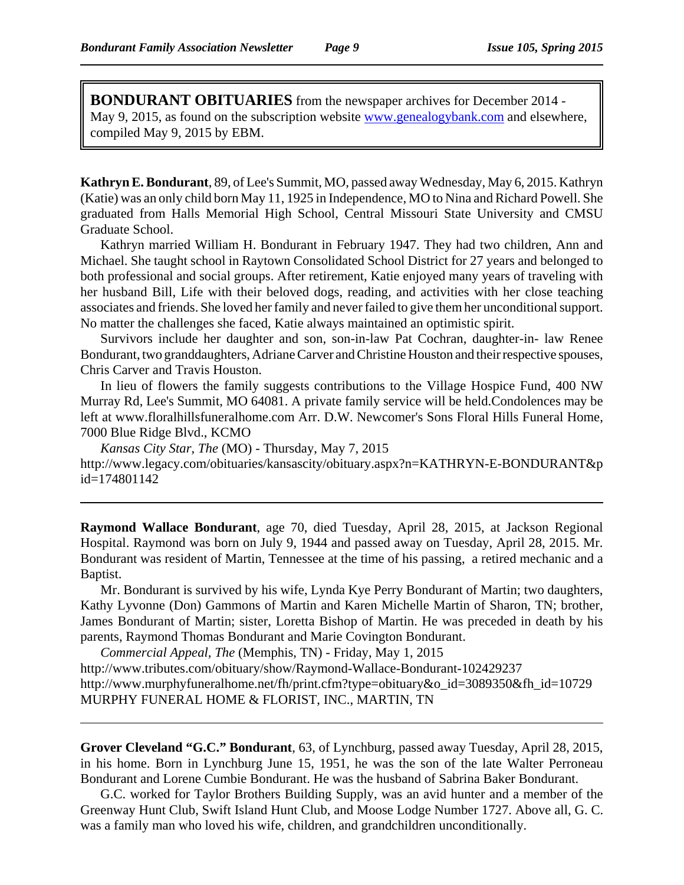**BONDURANT OBITUARIES** from the newspaper archives for December 2014 - May 9, 2015, as found on the subscription website www.genealogybank.com and elsewhere, compiled May 9, 2015 by EBM.

**Kathryn E. Bondurant**, 89, of Lee's Summit, MO, passed away Wednesday, May 6, 2015. Kathryn (Katie) was an only child born May 11, 1925 in Independence, MO to Nina and Richard Powell. She graduated from Halls Memorial High School, Central Missouri State University and CMSU Graduate School.

Kathryn married William H. Bondurant in February 1947. They had two children, Ann and Michael. She taught school in Raytown Consolidated School District for 27 years and belonged to both professional and social groups. After retirement, Katie enjoyed many years of traveling with her husband Bill, Life with their beloved dogs, reading, and activities with her close teaching associates and friends. She loved her family and never failed to give them her unconditional support. No matter the challenges she faced, Katie always maintained an optimistic spirit.

Survivors include her daughter and son, son-in-law Pat Cochran, daughter-in- law Renee Bondurant, two granddaughters, Adriane Carver and Christine Houston and their respective spouses, Chris Carver and Travis Houston.

In lieu of flowers the family suggests contributions to the Village Hospice Fund, 400 NW Murray Rd, Lee's Summit, MO 64081. A private family service will be held.Condolences may be left at www.floralhillsfuneralhome.com Arr. D.W. Newcomer's Sons Floral Hills Funeral Home, 7000 Blue Ridge Blvd., KCMO

*Kansas City Star, The* (MO) - Thursday, May 7, 2015 http://www.legacy.com/obituaries/kansascity/obituary.aspx?n=KATHRYN-E-BONDURANT&p id=174801142

**Raymond Wallace Bondurant**, age 70, died Tuesday, April 28, 2015, at Jackson Regional Hospital. Raymond was born on July 9, 1944 and passed away on Tuesday, April 28, 2015. Mr. Bondurant was resident of Martin, Tennessee at the time of his passing, a retired mechanic and a Baptist.

Mr. Bondurant is survived by his wife, Lynda Kye Perry Bondurant of Martin; two daughters, Kathy Lyvonne (Don) Gammons of Martin and Karen Michelle Martin of Sharon, TN; brother, James Bondurant of Martin; sister, Loretta Bishop of Martin. He was preceded in death by his parents, Raymond Thomas Bondurant and Marie Covington Bondurant.

*Commercial Appeal, The* (Memphis, TN) - Friday, May 1, 2015 http://www.tributes.com/obituary/show/Raymond-Wallace-Bondurant-102429237 http://www.murphyfuneralhome.net/fh/print.cfm?type=obituary&o\_id=3089350&fh\_id=10729 MURPHY FUNERAL HOME & FLORIST, INC., MARTIN, TN

**Grover Cleveland "G.C." Bondurant**, 63, of Lynchburg, passed away Tuesday, April 28, 2015, in his home. Born in Lynchburg June 15, 1951, he was the son of the late Walter Perroneau Bondurant and Lorene Cumbie Bondurant. He was the husband of Sabrina Baker Bondurant.

G.C. worked for Taylor Brothers Building Supply, was an avid hunter and a member of the Greenway Hunt Club, Swift Island Hunt Club, and Moose Lodge Number 1727. Above all, G. C. was a family man who loved his wife, children, and grandchildren unconditionally.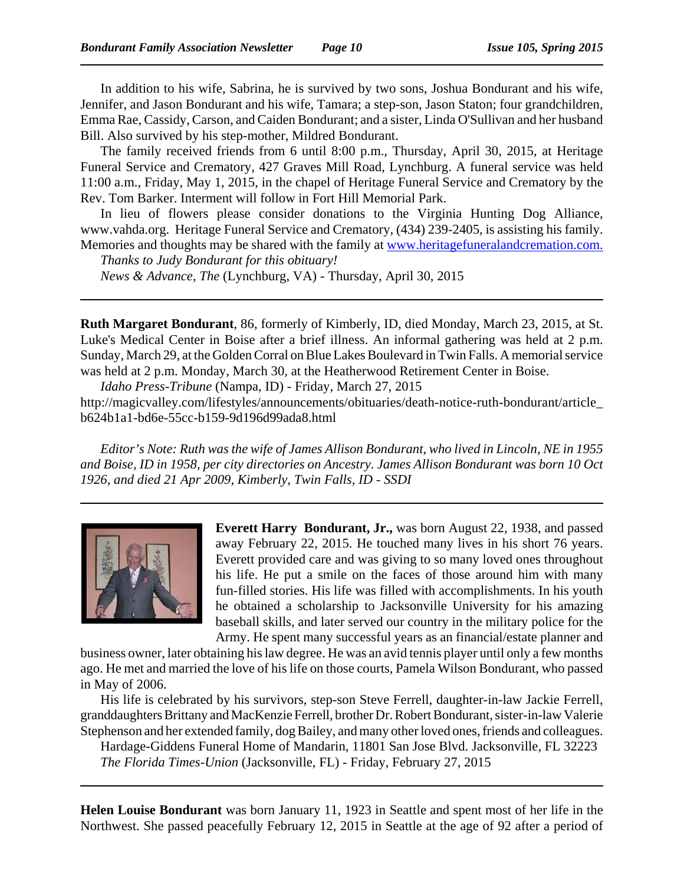In addition to his wife, Sabrina, he is survived by two sons, Joshua Bondurant and his wife, Jennifer, and Jason Bondurant and his wife, Tamara; a step-son, Jason Staton; four grandchildren, Emma Rae, Cassidy, Carson, and Caiden Bondurant; and a sister, Linda O'Sullivan and her husband Bill. Also survived by his step-mother, Mildred Bondurant.

The family received friends from 6 until 8:00 p.m., Thursday, April 30, 2015, at Heritage Funeral Service and Crematory, 427 Graves Mill Road, Lynchburg. A funeral service was held 11:00 a.m., Friday, May 1, 2015, in the chapel of Heritage Funeral Service and Crematory by the Rev. Tom Barker. Interment will follow in Fort Hill Memorial Park.

In lieu of flowers please consider donations to the Virginia Hunting Dog Alliance, www.vahda.org. Heritage Funeral Service and Crematory, (434) 239-2405, is assisting his family. Memories and thoughts may be shared with the family at www.heritagefuneralandcremation.com.

*Thanks to Judy Bondurant for this obituary! News & Advance, The* (Lynchburg, VA) - Thursday, April 30, 2015

**Ruth Margaret Bondurant**, 86, formerly of Kimberly, ID, died Monday, March 23, 2015, at St. Luke's Medical Center in Boise after a brief illness. An informal gathering was held at 2 p.m. Sunday, March 29, at the Golden Corral on Blue Lakes Boulevard in Twin Falls. A memorial service was held at 2 p.m. Monday, March 30, at the Heatherwood Retirement Center in Boise.

*Idaho Press-Tribune* (Nampa, ID) - Friday, March 27, 2015

http://magicvalley.com/lifestyles/announcements/obituaries/death-notice-ruth-bondurant/article\_ b624b1a1-bd6e-55cc-b159-9d196d99ada8.html

*Editor's Note: Ruth was the wife of James Allison Bondurant, who lived in Lincoln, NE in 1955 and Boise, ID in 1958, per city directories on Ancestry. James Allison Bondurant was born 10 Oct 1926, and died 21 Apr 2009, Kimberly, Twin Falls, ID - SSDI*



**Everett Harry Bondurant, Jr.,** was born August 22, 1938, and passed away February 22, 2015. He touched many lives in his short 76 years. Everett provided care and was giving to so many loved ones throughout his life. He put a smile on the faces of those around him with many fun-filled stories. His life was filled with accomplishments. In his youth he obtained a scholarship to Jacksonville University for his amazing baseball skills, and later served our country in the military police for the Army. He spent many successful years as an financial/estate planner and

business owner, later obtaining his law degree. He was an avid tennis player until only a few months ago. He met and married the love of his life on those courts, Pamela Wilson Bondurant, who passed in May of 2006.

His life is celebrated by his survivors, step-son Steve Ferrell, daughter-in-law Jackie Ferrell, granddaughters Brittany and MacKenzie Ferrell, brother Dr. Robert Bondurant, sister-in-law Valerie Stephenson and her extended family, dog Bailey, and many other loved ones, friends and colleagues.

Hardage-Giddens Funeral Home of Mandarin, 11801 San Jose Blvd. Jacksonville, FL 32223 *The Florida Times-Union* (Jacksonville, FL) - Friday, February 27, 2015

**Helen Louise Bondurant** was born January 11, 1923 in Seattle and spent most of her life in the Northwest. She passed peacefully February 12, 2015 in Seattle at the age of 92 after a period of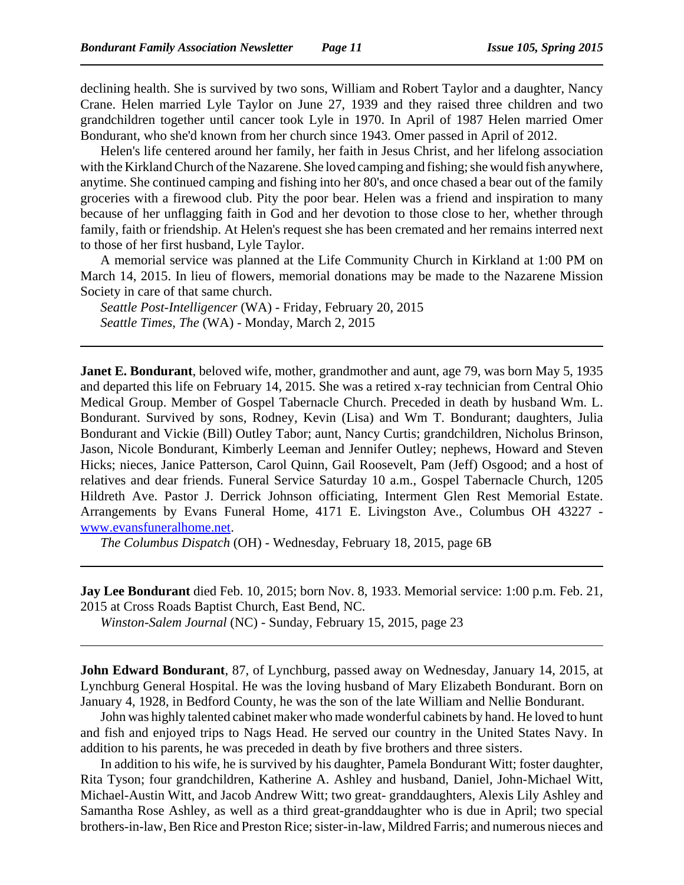declining health. She is survived by two sons, William and Robert Taylor and a daughter, Nancy Crane. Helen married Lyle Taylor on June 27, 1939 and they raised three children and two grandchildren together until cancer took Lyle in 1970. In April of 1987 Helen married Omer Bondurant, who she'd known from her church since 1943. Omer passed in April of 2012.

Helen's life centered around her family, her faith in Jesus Christ, and her lifelong association with the Kirkland Church of the Nazarene. She loved camping and fishing; she would fish anywhere, anytime. She continued camping and fishing into her 80's, and once chased a bear out of the family groceries with a firewood club. Pity the poor bear. Helen was a friend and inspiration to many because of her unflagging faith in God and her devotion to those close to her, whether through family, faith or friendship. At Helen's request she has been cremated and her remains interred next to those of her first husband, Lyle Taylor.

A memorial service was planned at the Life Community Church in Kirkland at 1:00 PM on March 14, 2015. In lieu of flowers, memorial donations may be made to the Nazarene Mission Society in care of that same church.

*Seattle Post-Intelligencer* (WA) - Friday, February 20, 2015 *Seattle Times, The* (WA) - Monday, March 2, 2015

**Janet E. Bondurant**, beloved wife, mother, grandmother and aunt, age 79, was born May 5, 1935 and departed this life on February 14, 2015. She was a retired x-ray technician from Central Ohio Medical Group. Member of Gospel Tabernacle Church. Preceded in death by husband Wm. L. Bondurant. Survived by sons, Rodney, Kevin (Lisa) and Wm T. Bondurant; daughters, Julia Bondurant and Vickie (Bill) Outley Tabor; aunt, Nancy Curtis; grandchildren, Nicholus Brinson, Jason, Nicole Bondurant, Kimberly Leeman and Jennifer Outley; nephews, Howard and Steven Hicks; nieces, Janice Patterson, Carol Quinn, Gail Roosevelt, Pam (Jeff) Osgood; and a host of relatives and dear friends. Funeral Service Saturday 10 a.m., Gospel Tabernacle Church, 1205 Hildreth Ave. Pastor J. Derrick Johnson officiating, Interment Glen Rest Memorial Estate. Arrangements by Evans Funeral Home, 4171 E. Livingston Ave., Columbus OH 43227 www.evansfuneralhome.net.

*The Columbus Dispatch* (OH) - Wednesday, February 18, 2015, page 6B

**Jay Lee Bondurant** died Feb. 10, 2015; born Nov. 8, 1933. Memorial service: 1:00 p.m. Feb. 21, 2015 at Cross Roads Baptist Church, East Bend, NC.

*Winston-Salem Journal* (NC) - Sunday, February 15, 2015, page 23

**John Edward Bondurant**, 87, of Lynchburg, passed away on Wednesday, January 14, 2015, at Lynchburg General Hospital. He was the loving husband of Mary Elizabeth Bondurant. Born on January 4, 1928, in Bedford County, he was the son of the late William and Nellie Bondurant.

John was highly talented cabinet maker who made wonderful cabinets by hand. He loved to hunt and fish and enjoyed trips to Nags Head. He served our country in the United States Navy. In addition to his parents, he was preceded in death by five brothers and three sisters.

In addition to his wife, he is survived by his daughter, Pamela Bondurant Witt; foster daughter, Rita Tyson; four grandchildren, Katherine A. Ashley and husband, Daniel, John-Michael Witt, Michael-Austin Witt, and Jacob Andrew Witt; two great- granddaughters, Alexis Lily Ashley and Samantha Rose Ashley, as well as a third great-granddaughter who is due in April; two special brothers-in-law, Ben Rice and Preston Rice; sister-in-law, Mildred Farris; and numerous nieces and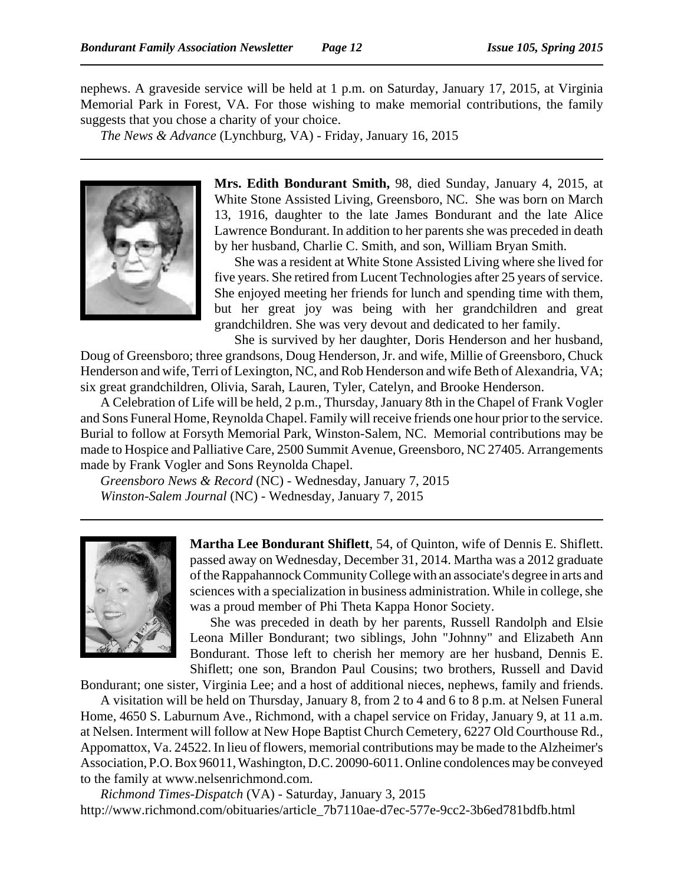nephews. A graveside service will be held at 1 p.m. on Saturday, January 17, 2015, at Virginia Memorial Park in Forest, VA. For those wishing to make memorial contributions, the family suggests that you chose a charity of your choice.

*The News & Advance* (Lynchburg, VA) - Friday, January 16, 2015



**Mrs. Edith Bondurant Smith,** 98, died Sunday, January 4, 2015, at White Stone Assisted Living, Greensboro, NC. She was born on March 13, 1916, daughter to the late James Bondurant and the late Alice Lawrence Bondurant. In addition to her parents she was preceded in death by her husband, Charlie C. Smith, and son, William Bryan Smith.

She was a resident at White Stone Assisted Living where she lived for five years. She retired from Lucent Technologies after 25 years of service. She enjoyed meeting her friends for lunch and spending time with them, but her great joy was being with her grandchildren and great grandchildren. She was very devout and dedicated to her family.

She is survived by her daughter, Doris Henderson and her husband, Doug of Greensboro; three grandsons, Doug Henderson, Jr. and wife, Millie of Greensboro, Chuck Henderson and wife, Terri of Lexington, NC, and Rob Henderson and wife Beth of Alexandria, VA; six great grandchildren, Olivia, Sarah, Lauren, Tyler, Catelyn, and Brooke Henderson.

A Celebration of Life will be held, 2 p.m., Thursday, January 8th in the Chapel of Frank Vogler and Sons Funeral Home, Reynolda Chapel. Family will receive friends one hour prior to the service. Burial to follow at Forsyth Memorial Park, Winston-Salem, NC. Memorial contributions may be made to Hospice and Palliative Care, 2500 Summit Avenue, Greensboro, NC 27405. Arrangements made by Frank Vogler and Sons Reynolda Chapel.

*Greensboro News & Record* (NC) - Wednesday, January 7, 2015 *Winston-Salem Journal* (NC) - Wednesday, January 7, 2015



**Martha Lee Bondurant Shiflett**, 54, of Quinton, wife of Dennis E. Shiflett. passed away on Wednesday, December 31, 2014. Martha was a 2012 graduate of the Rappahannock Community College with an associate's degree in arts and sciences with a specialization in business administration. While in college, she was a proud member of Phi Theta Kappa Honor Society.

She was preceded in death by her parents, Russell Randolph and Elsie Leona Miller Bondurant; two siblings, John "Johnny" and Elizabeth Ann Bondurant. Those left to cherish her memory are her husband, Dennis E. Shiflett; one son, Brandon Paul Cousins; two brothers, Russell and David

Bondurant; one sister, Virginia Lee; and a host of additional nieces, nephews, family and friends.

A visitation will be held on Thursday, January 8, from 2 to 4 and 6 to 8 p.m. at Nelsen Funeral Home, 4650 S. Laburnum Ave., Richmond, with a chapel service on Friday, January 9, at 11 a.m. at Nelsen. Interment will follow at New Hope Baptist Church Cemetery, 6227 Old Courthouse Rd., Appomattox, Va. 24522. In lieu of flowers, memorial contributions may be made to the Alzheimer's Association, P.O. Box 96011, Washington, D.C. 20090-6011. Online condolences may be conveyed to the family at www.nelsenrichmond.com.

*Richmond Times-Dispatch* (VA) - Saturday, January 3, 2015 http://www.richmond.com/obituaries/article\_7b7110ae-d7ec-577e-9cc2-3b6ed781bdfb.html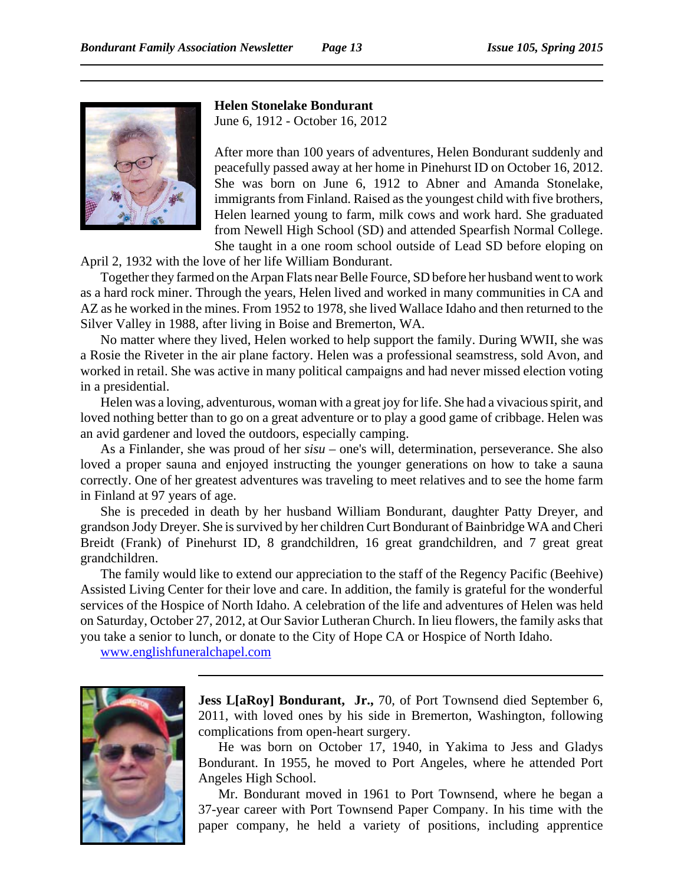

**Helen Stonelake Bondurant**

June 6, 1912 - October 16, 2012

After more than 100 years of adventures, Helen Bondurant suddenly and peacefully passed away at her home in Pinehurst ID on October 16, 2012. She was born on June 6, 1912 to Abner and Amanda Stonelake, immigrants from Finland. Raised as the youngest child with five brothers, Helen learned young to farm, milk cows and work hard. She graduated from Newell High School (SD) and attended Spearfish Normal College. She taught in a one room school outside of Lead SD before eloping on

April 2, 1932 with the love of her life William Bondurant.

Together they farmed on the Arpan Flats near Belle Fource, SD before her husband went to work as a hard rock miner. Through the years, Helen lived and worked in many communities in CA and AZ as he worked in the mines. From 1952 to 1978, she lived Wallace Idaho and then returned to the Silver Valley in 1988, after living in Boise and Bremerton, WA.

No matter where they lived, Helen worked to help support the family. During WWII, she was a Rosie the Riveter in the air plane factory. Helen was a professional seamstress, sold Avon, and worked in retail. She was active in many political campaigns and had never missed election voting in a presidential.

Helen was a loving, adventurous, woman with a great joy for life. She had a vivacious spirit, and loved nothing better than to go on a great adventure or to play a good game of cribbage. Helen was an avid gardener and loved the outdoors, especially camping.

As a Finlander, she was proud of her *sisu* – one's will, determination, perseverance. She also loved a proper sauna and enjoyed instructing the younger generations on how to take a sauna correctly. One of her greatest adventures was traveling to meet relatives and to see the home farm in Finland at 97 years of age.

She is preceded in death by her husband William Bondurant, daughter Patty Dreyer, and grandson Jody Dreyer. She is survived by her children Curt Bondurant of Bainbridge WA and Cheri Breidt (Frank) of Pinehurst ID, 8 grandchildren, 16 great grandchildren, and 7 great great grandchildren.

The family would like to extend our appreciation to the staff of the Regency Pacific (Beehive) Assisted Living Center for their love and care. In addition, the family is grateful for the wonderful services of the Hospice of North Idaho. A celebration of the life and adventures of Helen was held on Saturday, October 27, 2012, at Our Savior Lutheran Church. In lieu flowers, the family asks that you take a senior to lunch, or donate to the City of Hope CA or Hospice of North Idaho.

www.englishfuneralchapel.com



**Jess L[aRoy] Bondurant, Jr.,** 70, of Port Townsend died September 6, 2011, with loved ones by his side in Bremerton, Washington, following complications from open-heart surgery.

He was born on October 17, 1940, in Yakima to Jess and Gladys Bondurant. In 1955, he moved to Port Angeles, where he attended Port Angeles High School.

Mr. Bondurant moved in 1961 to Port Townsend, where he began a 37-year career with Port Townsend Paper Company. In his time with the paper company, he held a variety of positions, including apprentice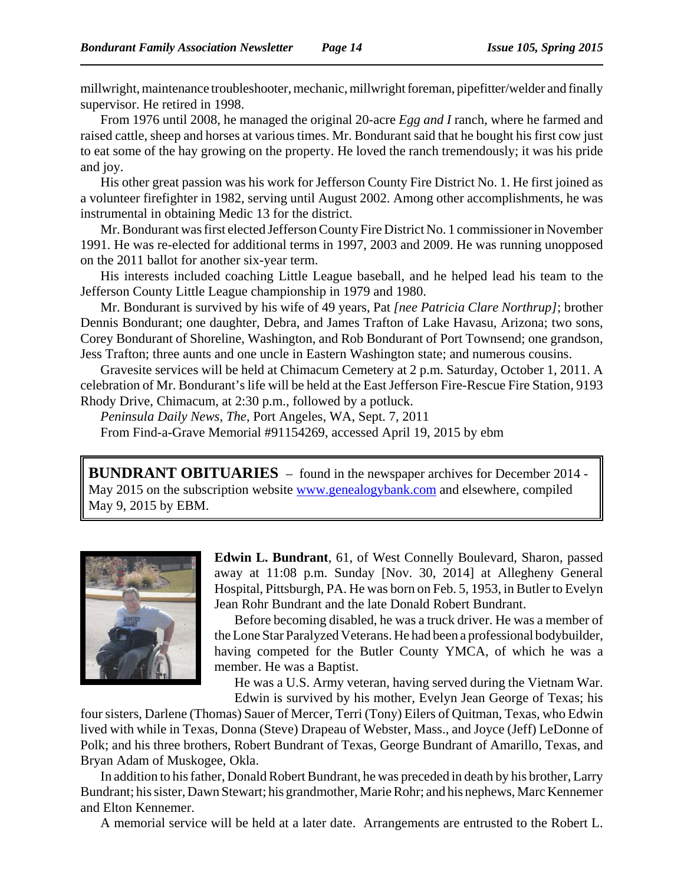millwright, maintenance troubleshooter, mechanic, millwright foreman, pipefitter/welder and finally supervisor. He retired in 1998.

From 1976 until 2008, he managed the original 20-acre *Egg and I* ranch, where he farmed and raised cattle, sheep and horses at various times. Mr. Bondurant said that he bought his first cow just to eat some of the hay growing on the property. He loved the ranch tremendously; it was his pride and joy.

His other great passion was his work for Jefferson County Fire District No. 1. He first joined as a volunteer firefighter in 1982, serving until August 2002. Among other accomplishments, he was instrumental in obtaining Medic 13 for the district.

Mr. Bondurant was first elected Jefferson County Fire District No. 1 commissioner in November 1991. He was re-elected for additional terms in 1997, 2003 and 2009. He was running unopposed on the 2011 ballot for another six-year term.

His interests included coaching Little League baseball, and he helped lead his team to the Jefferson County Little League championship in 1979 and 1980.

Mr. Bondurant is survived by his wife of 49 years, Pat *[nee Patricia Clare Northrup]*; brother Dennis Bondurant; one daughter, Debra, and James Trafton of Lake Havasu, Arizona; two sons, Corey Bondurant of Shoreline, Washington, and Rob Bondurant of Port Townsend; one grandson, Jess Trafton; three aunts and one uncle in Eastern Washington state; and numerous cousins.

Gravesite services will be held at Chimacum Cemetery at 2 p.m. Saturday, October 1, 2011. A celebration of Mr. Bondurant's life will be held at the East Jefferson Fire-Rescue Fire Station, 9193 Rhody Drive, Chimacum, at 2:30 p.m., followed by a potluck.

*Peninsula Daily News, The*, Port Angeles, WA, Sept. 7, 2011

From Find-a-Grave Memorial #91154269, accessed April 19, 2015 by ebm

**BUNDRANT OBITUARIES** – found in the newspaper archives for December 2014 - May 2015 on the subscription website www.genealogybank.com and elsewhere, compiled May 9, 2015 by EBM.



**Edwin L. Bundrant**, 61, of West Connelly Boulevard, Sharon, passed away at 11:08 p.m. Sunday [Nov. 30, 2014] at Allegheny General Hospital, Pittsburgh, PA. He was born on Feb. 5, 1953, in Butler to Evelyn Jean Rohr Bundrant and the late Donald Robert Bundrant.

Before becoming disabled, he was a truck driver. He was a member of the Lone Star Paralyzed Veterans. He had been a professional bodybuilder, having competed for the Butler County YMCA, of which he was a member. He was a Baptist.

He was a U.S. Army veteran, having served during the Vietnam War. Edwin is survived by his mother, Evelyn Jean George of Texas; his

four sisters, Darlene (Thomas) Sauer of Mercer, Terri (Tony) Eilers of Quitman, Texas, who Edwin lived with while in Texas, Donna (Steve) Drapeau of Webster, Mass., and Joyce (Jeff) LeDonne of Polk; and his three brothers, Robert Bundrant of Texas, George Bundrant of Amarillo, Texas, and Bryan Adam of Muskogee, Okla.

In addition to his father, Donald Robert Bundrant, he was preceded in death by his brother, Larry Bundrant; his sister, Dawn Stewart; his grandmother, Marie Rohr; and his nephews, Marc Kennemer and Elton Kennemer.

A memorial service will be held at a later date. Arrangements are entrusted to the Robert L.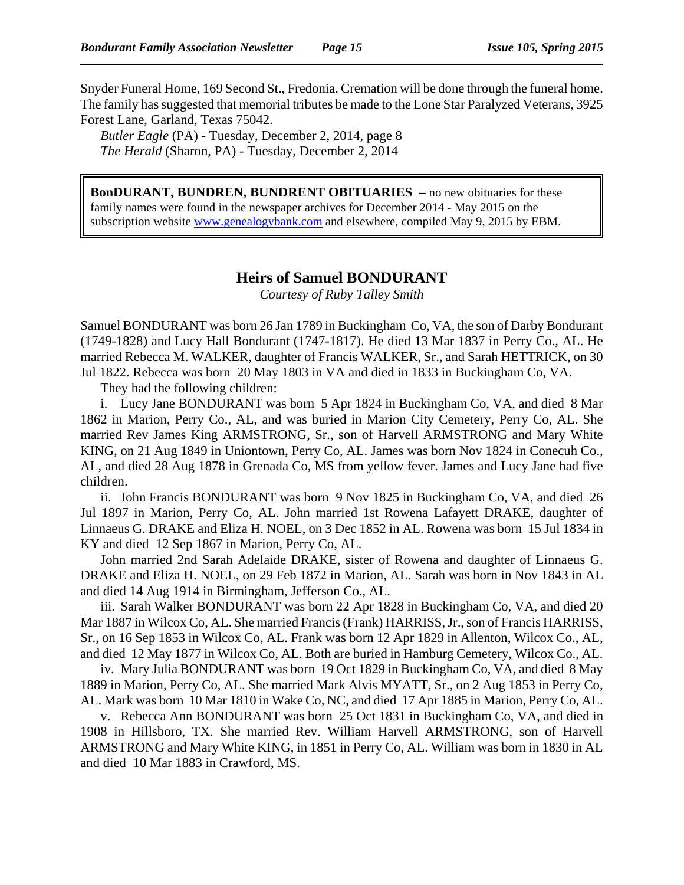Snyder Funeral Home, 169 Second St., Fredonia. Cremation will be done through the funeral home. The family has suggested that memorial tributes be made to the Lone Star Paralyzed Veterans, 3925 Forest Lane, Garland, Texas 75042.

*Butler Eagle* (PA) - Tuesday, December 2, 2014, page 8 *The Herald* (Sharon, PA) - Tuesday, December 2, 2014

**BonDURANT, BUNDREN, BUNDRENT OBITUARIES –** no new obituaries for these family names were found in the newspaper archives for December 2014 - May 2015 on the subscription website www.genealogybank.com and elsewhere, compiled May 9, 2015 by EBM.

### **Heirs of Samuel BONDURANT**

*Courtesy of Ruby Talley Smith*

Samuel BONDURANT was born 26 Jan 1789 in Buckingham Co, VA, the son of Darby Bondurant (1749-1828) and Lucy Hall Bondurant (1747-1817). He died 13 Mar 1837 in Perry Co., AL. He married Rebecca M. WALKER, daughter of Francis WALKER, Sr., and Sarah HETTRICK, on 30 Jul 1822. Rebecca was born 20 May 1803 in VA and died in 1833 in Buckingham Co, VA.

They had the following children:

i. Lucy Jane BONDURANT was born 5 Apr 1824 in Buckingham Co, VA, and died 8 Mar 1862 in Marion, Perry Co., AL, and was buried in Marion City Cemetery, Perry Co, AL. She married Rev James King ARMSTRONG, Sr., son of Harvell ARMSTRONG and Mary White KING, on 21 Aug 1849 in Uniontown, Perry Co, AL. James was born Nov 1824 in Conecuh Co., AL, and died 28 Aug 1878 in Grenada Co, MS from yellow fever. James and Lucy Jane had five children.

ii. John Francis BONDURANT was born 9 Nov 1825 in Buckingham Co, VA, and died 26 Jul 1897 in Marion, Perry Co, AL. John married 1st Rowena Lafayett DRAKE, daughter of Linnaeus G. DRAKE and Eliza H. NOEL, on 3 Dec 1852 in AL. Rowena was born 15 Jul 1834 in KY and died 12 Sep 1867 in Marion, Perry Co, AL.

John married 2nd Sarah Adelaide DRAKE, sister of Rowena and daughter of Linnaeus G. DRAKE and Eliza H. NOEL, on 29 Feb 1872 in Marion, AL. Sarah was born in Nov 1843 in AL and died 14 Aug 1914 in Birmingham, Jefferson Co., AL.

iii. Sarah Walker BONDURANT was born 22 Apr 1828 in Buckingham Co, VA, and died 20 Mar 1887 in Wilcox Co, AL. She married Francis (Frank) HARRISS, Jr., son of Francis HARRISS, Sr., on 16 Sep 1853 in Wilcox Co, AL. Frank was born 12 Apr 1829 in Allenton, Wilcox Co., AL, and died 12 May 1877 in Wilcox Co, AL. Both are buried in Hamburg Cemetery, Wilcox Co., AL.

iv. Mary Julia BONDURANT was born 19 Oct 1829 in Buckingham Co, VA, and died 8 May 1889 in Marion, Perry Co, AL. She married Mark Alvis MYATT, Sr., on 2 Aug 1853 in Perry Co, AL. Mark was born 10 Mar 1810 in Wake Co, NC, and died 17 Apr 1885 in Marion, Perry Co, AL.

v. Rebecca Ann BONDURANT was born 25 Oct 1831 in Buckingham Co, VA, and died in 1908 in Hillsboro, TX. She married Rev. William Harvell ARMSTRONG, son of Harvell ARMSTRONG and Mary White KING, in 1851 in Perry Co, AL. William was born in 1830 in AL and died 10 Mar 1883 in Crawford, MS.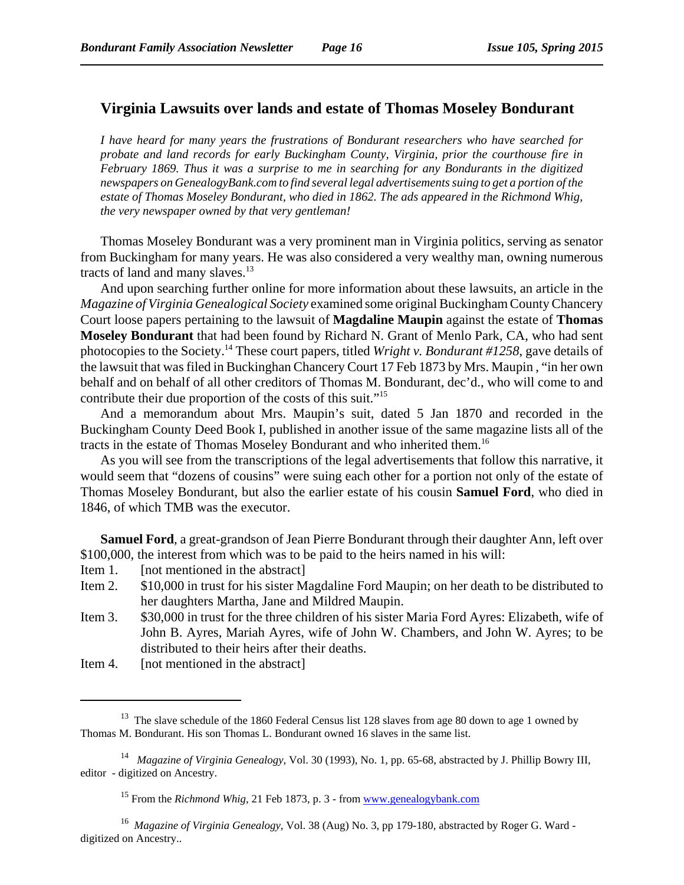## **Virginia Lawsuits over lands and estate of Thomas Moseley Bondurant**

*I have heard for many years the frustrations of Bondurant researchers who have searched for probate and land records for early Buckingham County, Virginia, prior the courthouse fire in February 1869. Thus it was a surprise to me in searching for any Bondurants in the digitized newspapers on GenealogyBank.com to find several legal advertisements suing to get a portion of the estate of Thomas Moseley Bondurant, who died in 1862. The ads appeared in the Richmond Whig, the very newspaper owned by that very gentleman!*

Thomas Moseley Bondurant was a very prominent man in Virginia politics, serving as senator from Buckingham for many years. He was also considered a very wealthy man, owning numerous tracts of land and many slaves.<sup>13</sup>

And upon searching further online for more information about these lawsuits, an article in the *Magazine of Virginia Genealogical Society* examined some original Buckingham County Chancery Court loose papers pertaining to the lawsuit of **Magdaline Maupin** against the estate of **Thomas Moseley Bondurant** that had been found by Richard N. Grant of Menlo Park, CA, who had sent photocopies to the Society.14 These court papers, titled *Wright v. Bondurant #1258*, gave details of the lawsuit that was filed in Buckinghan Chancery Court 17 Feb 1873 by Mrs. Maupin , "in her own behalf and on behalf of all other creditors of Thomas M. Bondurant, dec'd., who will come to and contribute their due proportion of the costs of this suit."15

And a memorandum about Mrs. Maupin's suit, dated 5 Jan 1870 and recorded in the Buckingham County Deed Book I, published in another issue of the same magazine lists all of the tracts in the estate of Thomas Moseley Bondurant and who inherited them.16

As you will see from the transcriptions of the legal advertisements that follow this narrative, it would seem that "dozens of cousins" were suing each other for a portion not only of the estate of Thomas Moseley Bondurant, but also the earlier estate of his cousin **Samuel Ford**, who died in 1846, of which TMB was the executor.

**Samuel Ford**, a great-grandson of Jean Pierre Bondurant through their daughter Ann, left over \$100,000, the interest from which was to be paid to the heirs named in his will:

- Item 1. [not mentioned in the abstract]
- Item 2. \$10,000 in trust for his sister Magdaline Ford Maupin; on her death to be distributed to her daughters Martha, Jane and Mildred Maupin.
- Item 3. \$30,000 in trust for the three children of his sister Maria Ford Ayres: Elizabeth, wife of John B. Ayres, Mariah Ayres, wife of John W. Chambers, and John W. Ayres; to be distributed to their heirs after their deaths.
- Item 4. [not mentioned in the abstract]

<sup>&</sup>lt;sup>13</sup> The slave schedule of the 1860 Federal Census list 128 slaves from age 80 down to age 1 owned by Thomas M. Bondurant. His son Thomas L. Bondurant owned 16 slaves in the same list.

<sup>14</sup> *Magazine of Virginia Genealogy*, Vol. 30 (1993), No. 1, pp. 65-68, abstracted by J. Phillip Bowry III, editor - digitized on Ancestry.

<sup>&</sup>lt;sup>15</sup> From the *Richmond Whig*, 21 Feb 1873, p. 3 - from www.genealogybank.com

<sup>16</sup> *Magazine of Virginia Genealogy*, Vol. 38 (Aug) No. 3, pp 179-180, abstracted by Roger G. Ward digitized on Ancestry..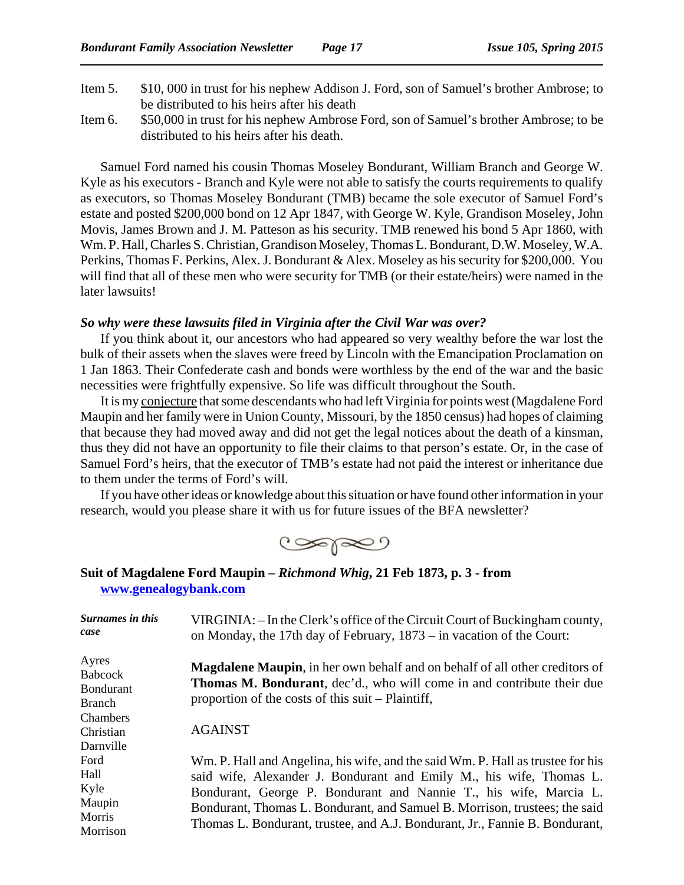- Item 5. \$10, 000 in trust for his nephew Addison J. Ford, son of Samuel's brother Ambrose; to be distributed to his heirs after his death
- Item 6. \$50,000 in trust for his nephew Ambrose Ford, son of Samuel's brother Ambrose; to be distributed to his heirs after his death.

Samuel Ford named his cousin Thomas Moseley Bondurant, William Branch and George W. Kyle as his executors - Branch and Kyle were not able to satisfy the courts requirements to qualify as executors, so Thomas Moseley Bondurant (TMB) became the sole executor of Samuel Ford's estate and posted \$200,000 bond on 12 Apr 1847, with George W. Kyle, Grandison Moseley, John Movis, James Brown and J. M. Patteson as his security. TMB renewed his bond 5 Apr 1860, with Wm. P. Hall, Charles S. Christian, Grandison Moseley, Thomas L. Bondurant, D.W. Moseley, W.A. Perkins, Thomas F. Perkins, Alex. J. Bondurant & Alex. Moseley as his security for \$200,000. You will find that all of these men who were security for TMB (or their estate/heirs) were named in the later lawsuits!

### *So why were these lawsuits filed in Virginia after the Civil War was over?*

If you think about it, our ancestors who had appeared so very wealthy before the war lost the bulk of their assets when the slaves were freed by Lincoln with the Emancipation Proclamation on 1 Jan 1863. Their Confederate cash and bonds were worthless by the end of the war and the basic necessities were frightfully expensive. So life was difficult throughout the South.

It is my conjecture that some descendants who had left Virginia for points west (Magdalene Ford Maupin and her family were in Union County, Missouri, by the 1850 census) had hopes of claiming that because they had moved away and did not get the legal notices about the death of a kinsman, thus they did not have an opportunity to file their claims to that person's estate. Or, in the case of Samuel Ford's heirs, that the executor of TMB's estate had not paid the interest or inheritance due to them under the terms of Ford's will.

If you have other ideas or knowledge about this situation or have found other information in your research, would you please share it with us for future issues of the BFA newsletter?

 $\infty$ 

### **Suit of Magdalene Ford Maupin –** *Richmond Whig***, 21 Feb 1873, p. 3 - from www.genealogybank.com**

| Surnames in this<br>case                                                        | VIRGINIA: – In the Clerk's office of the Circuit Court of Buckingham county,<br>on Monday, the 17th day of February, $1873 - in$ vacation of the Court:                                                                                                                                                                                                                                  |
|---------------------------------------------------------------------------------|------------------------------------------------------------------------------------------------------------------------------------------------------------------------------------------------------------------------------------------------------------------------------------------------------------------------------------------------------------------------------------------|
| Ayres<br><b>Babcock</b><br><b>Bondurant</b><br><b>Branch</b><br><b>Chambers</b> | <b>Magdalene Maupin,</b> in her own behalf and on behalf of all other creditors of<br><b>Thomas M. Bondurant</b> , dec'd., who will come in and contribute their due<br>proportion of the costs of this suit – Plaintiff,                                                                                                                                                                |
| Christian<br>Darnville                                                          | <b>AGAINST</b>                                                                                                                                                                                                                                                                                                                                                                           |
| Ford<br>Hall<br>Kyle<br>Maupin<br>Morris<br>Morrison                            | Wm. P. Hall and Angelina, his wife, and the said Wm. P. Hall as trustee for his<br>said wife, Alexander J. Bondurant and Emily M., his wife, Thomas L.<br>Bondurant, George P. Bondurant and Nannie T., his wife, Marcia L.<br>Bondurant, Thomas L. Bondurant, and Samuel B. Morrison, trustees; the said<br>Thomas L. Bondurant, trustee, and A.J. Bondurant, Jr., Fannie B. Bondurant, |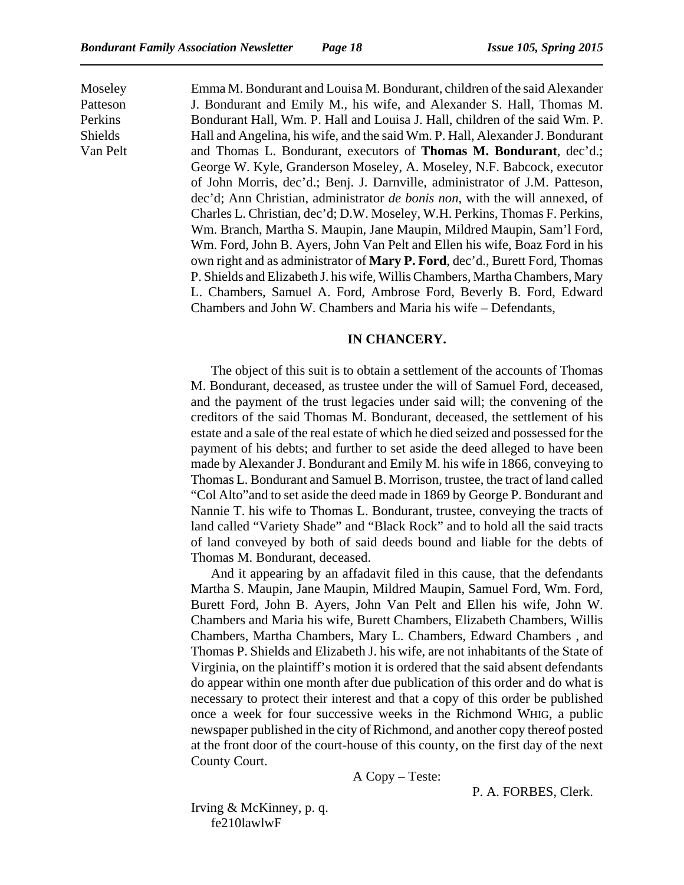Moseley Patteson Perkins Shields Van Pelt

Emma M. Bondurant and Louisa M. Bondurant, children of the said Alexander J. Bondurant and Emily M., his wife, and Alexander S. Hall, Thomas M. Bondurant Hall, Wm. P. Hall and Louisa J. Hall, children of the said Wm. P. Hall and Angelina, his wife, and the said Wm. P. Hall, Alexander J. Bondurant and Thomas L. Bondurant, executors of **Thomas M. Bondurant**, dec'd.; George W. Kyle, Granderson Moseley, A. Moseley, N.F. Babcock, executor of John Morris, dec'd.; Benj. J. Darnville, administrator of J.M. Patteson, dec'd; Ann Christian, administrator *de bonis non*, with the will annexed, of Charles L. Christian, dec'd; D.W. Moseley, W.H. Perkins, Thomas F. Perkins, Wm. Branch, Martha S. Maupin, Jane Maupin, Mildred Maupin, Sam'l Ford, Wm. Ford, John B. Ayers, John Van Pelt and Ellen his wife, Boaz Ford in his own right and as administrator of **Mary P. Ford**, dec'd., Burett Ford, Thomas P. Shields and Elizabeth J. his wife, Willis Chambers, Martha Chambers, Mary L. Chambers, Samuel A. Ford, Ambrose Ford, Beverly B. Ford, Edward Chambers and John W. Chambers and Maria his wife – Defendants,

### **IN CHANCERY.**

The object of this suit is to obtain a settlement of the accounts of Thomas M. Bondurant, deceased, as trustee under the will of Samuel Ford, deceased, and the payment of the trust legacies under said will; the convening of the creditors of the said Thomas M. Bondurant, deceased, the settlement of his estate and a sale of the real estate of which he died seized and possessed for the payment of his debts; and further to set aside the deed alleged to have been made by Alexander J. Bondurant and Emily M. his wife in 1866, conveying to Thomas L. Bondurant and Samuel B. Morrison, trustee, the tract of land called "Col Alto"and to set aside the deed made in 1869 by George P. Bondurant and Nannie T. his wife to Thomas L. Bondurant, trustee, conveying the tracts of land called "Variety Shade" and "Black Rock" and to hold all the said tracts of land conveyed by both of said deeds bound and liable for the debts of Thomas M. Bondurant, deceased.

And it appearing by an affadavit filed in this cause, that the defendants Martha S. Maupin, Jane Maupin, Mildred Maupin, Samuel Ford, Wm. Ford, Burett Ford, John B. Ayers, John Van Pelt and Ellen his wife, John W. Chambers and Maria his wife, Burett Chambers, Elizabeth Chambers, Willis Chambers, Martha Chambers, Mary L. Chambers, Edward Chambers , and Thomas P. Shields and Elizabeth J. his wife, are not inhabitants of the State of Virginia, on the plaintiff's motion it is ordered that the said absent defendants do appear within one month after due publication of this order and do what is necessary to protect their interest and that a copy of this order be published once a week for four successive weeks in the Richmond WHIG, a public newspaper published in the city of Richmond, and another copy thereof posted at the front door of the court-house of this county, on the first day of the next County Court.

A Copy – Teste:

P. A. FORBES, Clerk.

Irving & McKinney, p. q. fe210lawlwF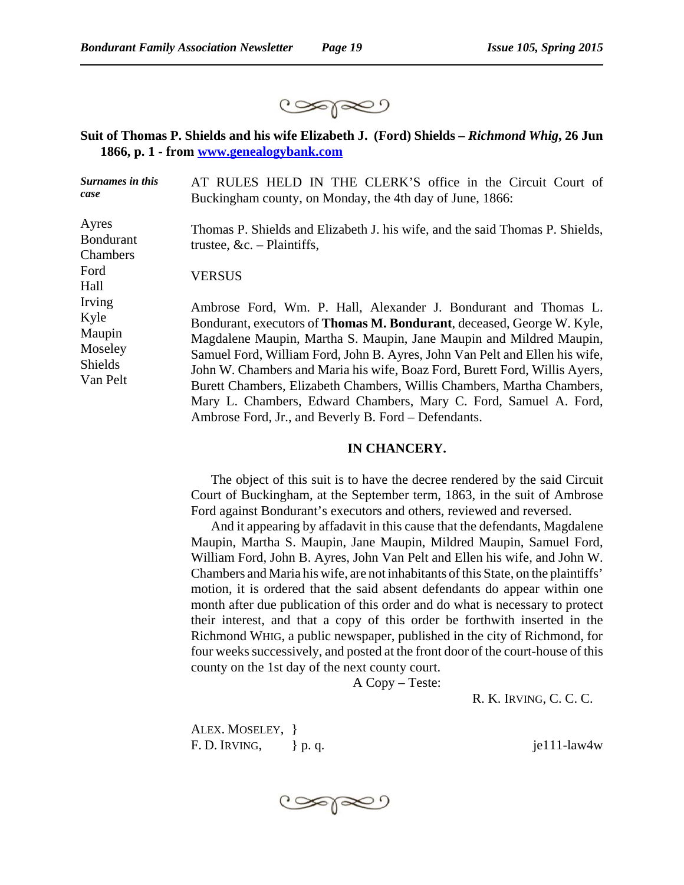

## **Suit of Thomas P. Shields and his wife Elizabeth J. (Ford) Shields –** *Richmond Whig***, 26 Jun 1866, p. 1 - from www.genealogybank.com**

| <b>Surnames in this</b><br>case                                   | AT RULES HELD IN THE CLERK'S office in the Circuit Court of<br>Buckingham county, on Monday, the 4th day of June, 1866:                                                                                                                                                                                                                                                                                                                                                                                                                                                                     |
|-------------------------------------------------------------------|---------------------------------------------------------------------------------------------------------------------------------------------------------------------------------------------------------------------------------------------------------------------------------------------------------------------------------------------------------------------------------------------------------------------------------------------------------------------------------------------------------------------------------------------------------------------------------------------|
| Ayres<br><b>Bondurant</b><br>Chambers                             | Thomas P. Shields and Elizabeth J. his wife, and the said Thomas P. Shields,<br>trustee, $&c.$ - Plaintiffs,                                                                                                                                                                                                                                                                                                                                                                                                                                                                                |
| Ford<br>Hall                                                      | <b>VERSUS</b>                                                                                                                                                                                                                                                                                                                                                                                                                                                                                                                                                                               |
| Irving<br>Kyle<br>Maupin<br>Moseley<br><b>Shields</b><br>Van Pelt | Ambrose Ford, Wm. P. Hall, Alexander J. Bondurant and Thomas L.<br>Bondurant, executors of <b>Thomas M. Bondurant</b> , deceased, George W. Kyle,<br>Magdalene Maupin, Martha S. Maupin, Jane Maupin and Mildred Maupin,<br>Samuel Ford, William Ford, John B. Ayres, John Van Pelt and Ellen his wife,<br>John W. Chambers and Maria his wife, Boaz Ford, Burett Ford, Willis Ayers,<br>Burett Chambers, Elizabeth Chambers, Willis Chambers, Martha Chambers,<br>Mary L. Chambers, Edward Chambers, Mary C. Ford, Samuel A. Ford,<br>Ambrose Ford, Jr., and Beverly B. Ford – Defendants. |

### **IN CHANCERY.**

The object of this suit is to have the decree rendered by the said Circuit Court of Buckingham, at the September term, 1863, in the suit of Ambrose Ford against Bondurant's executors and others, reviewed and reversed.

And it appearing by affadavit in this cause that the defendants, Magdalene Maupin, Martha S. Maupin, Jane Maupin, Mildred Maupin, Samuel Ford, William Ford, John B. Ayres, John Van Pelt and Ellen his wife, and John W. Chambers and Maria his wife, are not inhabitants of this State, on the plaintiffs' motion, it is ordered that the said absent defendants do appear within one month after due publication of this order and do what is necessary to protect their interest, and that a copy of this order be forthwith inserted in the Richmond WHIG, a public newspaper, published in the city of Richmond, for four weeks successively, and posted at the front door of the court-house of this county on the 1st day of the next county court.

A Copy – Teste:

ALEX. MOSELEY, } F. D. IRVING,  $\}$  p. q. je111-law4w

R. K. IRVING, C. C. C.

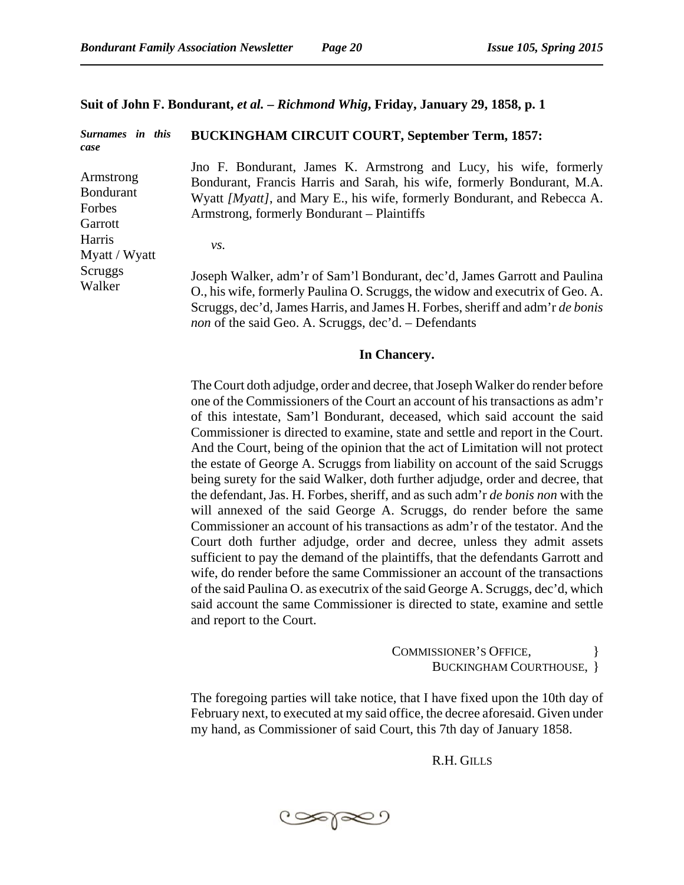### **Suit of John F. Bondurant,** *et al.* **–** *Richmond Whig***, Friday, January 29, 1858, p. 1**

#### *Surnames in this case* Armstrong Bondurant Forbes **Garrott** Harris Myatt / Wyatt Scruggs Walker **BUCKINGHAM CIRCUIT COURT, September Term, 1857:**  Jno F. Bondurant, James K. Armstrong and Lucy, his wife, formerly Bondurant, Francis Harris and Sarah, his wife, formerly Bondurant, M.A. Wyatt *[Myatt]*, and Mary E., his wife, formerly Bondurant, and Rebecca A. Armstrong, formerly Bondurant – Plaintiffs *vs.* Joseph Walker, adm'r of Sam'l Bondurant, dec'd, James Garrott and Paulina O., his wife, formerly Paulina O. Scruggs, the widow and executrix of Geo. A. Scruggs, dec'd, James Harris, and James H. Forbes, sheriff and adm'r *de bonis non* of the said Geo. A. Scruggs, dec'd. – Defendants

### **In Chancery.**

The Court doth adjudge, order and decree, that Joseph Walker do render before one of the Commissioners of the Court an account of his transactions as adm'r of this intestate, Sam'l Bondurant, deceased, which said account the said Commissioner is directed to examine, state and settle and report in the Court. And the Court, being of the opinion that the act of Limitation will not protect the estate of George A. Scruggs from liability on account of the said Scruggs being surety for the said Walker, doth further adjudge, order and decree, that the defendant, Jas. H. Forbes, sheriff, and as such adm'r *de bonis non* with the will annexed of the said George A. Scruggs, do render before the same Commissioner an account of his transactions as adm'r of the testator. And the Court doth further adjudge, order and decree, unless they admit assets sufficient to pay the demand of the plaintiffs, that the defendants Garrott and wife, do render before the same Commissioner an account of the transactions of the said Paulina O. as executrix of the said George A. Scruggs, dec'd, which said account the same Commissioner is directed to state, examine and settle and report to the Court.

> COMMISSIONER'S OFFICE, BUCKINGHAM COURTHOUSE, }

The foregoing parties will take notice, that I have fixed upon the 10th day of February next, to executed at my said office, the decree aforesaid. Given under my hand, as Commissioner of said Court, this 7th day of January 1858.

R.H. GILLS

تعاصي